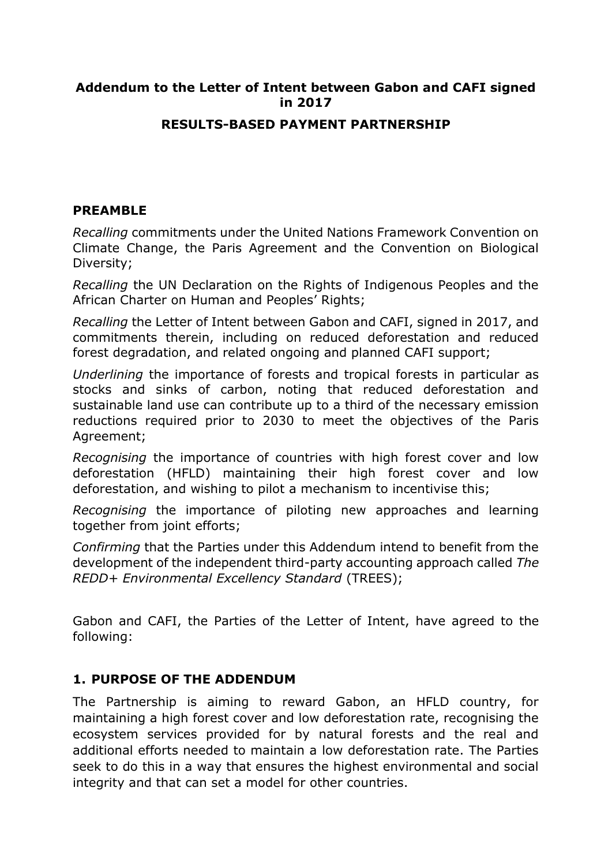#### **Addendum to the Letter of Intent between Gabon and CAFI signed in 2017**

#### **RESULTS-BASED PAYMENT PARTNERSHIP**

#### **PREAMBLE**

*Recalling* commitments under the United Nations Framework Convention on Climate Change, the Paris Agreement and the Convention on Biological Diversity;

*Recalling* the UN Declaration on the Rights of Indigenous Peoples and the African Charter on Human and Peoples' Rights;

*Recalling* the Letter of Intent between Gabon and CAFI, signed in 2017, and commitments therein, including on reduced deforestation and reduced forest degradation, and related ongoing and planned CAFI support;

*Underlining* the importance of forests and tropical forests in particular as stocks and sinks of carbon, noting that reduced deforestation and sustainable land use can contribute up to a third of the necessary emission reductions required prior to 2030 to meet the objectives of the Paris Agreement;

*Recognising* the importance of countries with high forest cover and low deforestation (HFLD) maintaining their high forest cover and low deforestation, and wishing to pilot a mechanism to incentivise this;

*Recognising* the importance of piloting new approaches and learning together from joint efforts;

*Confirming* that the Parties under this Addendum intend to benefit from the development of the independent third-party accounting approach called *The REDD+ Environmental Excellency Standard* (TREES);

Gabon and CAFI, the Parties of the Letter of Intent, have agreed to the following:

#### **1. PURPOSE OF THE ADDENDUM**

The Partnership is aiming to reward Gabon, an HFLD country, for maintaining a high forest cover and low deforestation rate, recognising the ecosystem services provided for by natural forests and the real and additional efforts needed to maintain a low deforestation rate. The Parties seek to do this in a way that ensures the highest environmental and social integrity and that can set a model for other countries.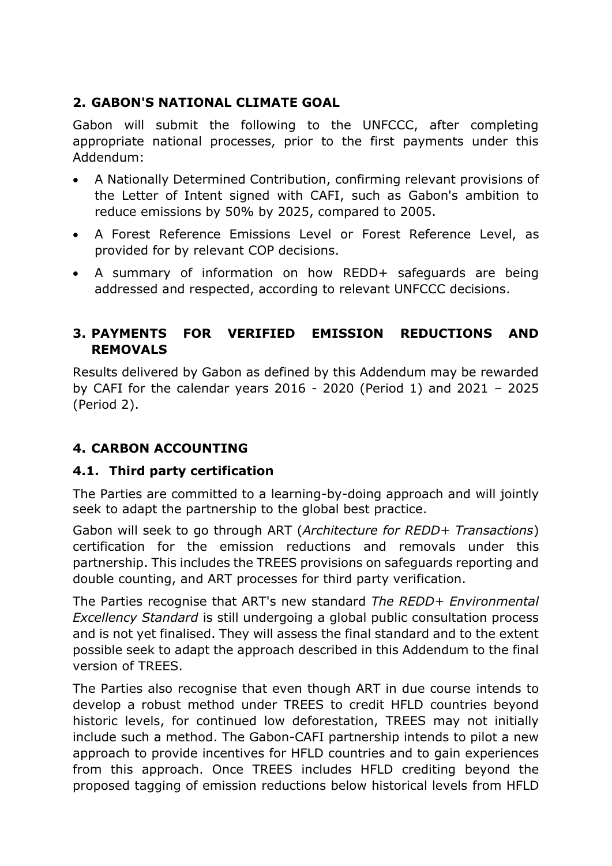# **2. GABON'S NATIONAL CLIMATE GOAL**

Gabon will submit the following to the UNFCCC, after completing appropriate national processes, prior to the first payments under this Addendum:

- A Nationally Determined Contribution, confirming relevant provisions of the Letter of Intent signed with CAFI, such as Gabon's ambition to reduce emissions by 50% by 2025, compared to 2005.
- A Forest Reference Emissions Level or Forest Reference Level, as provided for by relevant COP decisions.
- A summary of information on how REDD+ safeguards are being addressed and respected, according to relevant UNFCCC decisions.

## **3. PAYMENTS FOR VERIFIED EMISSION REDUCTIONS AND REMOVALS**

Results delivered by Gabon as defined by this Addendum may be rewarded by CAFI for the calendar years 2016 - 2020 (Period 1) and 2021 – 2025 (Period 2).

## **4. CARBON ACCOUNTING**

## **4.1. Third party certification**

The Parties are committed to a learning-by-doing approach and will jointly seek to adapt the partnership to the global best practice.

Gabon will seek to go through ART (*Architecture for REDD+ Transactions*) certification for the emission reductions and removals under this partnership. This includes the TREES provisions on safeguards reporting and double counting, and ART processes for third party verification.

The Parties recognise that ART's new standard *The REDD+ Environmental Excellency Standard* is still undergoing a global public consultation process and is not yet finalised. They will assess the final standard and to the extent possible seek to adapt the approach described in this Addendum to the final version of TREES.

The Parties also recognise that even though ART in due course intends to develop a robust method under TREES to credit HFLD countries beyond historic levels, for continued low deforestation, TREES may not initially include such a method. The Gabon-CAFI partnership intends to pilot a new approach to provide incentives for HFLD countries and to gain experiences from this approach. Once TREES includes HFLD crediting beyond the proposed tagging of emission reductions below historical levels from HFLD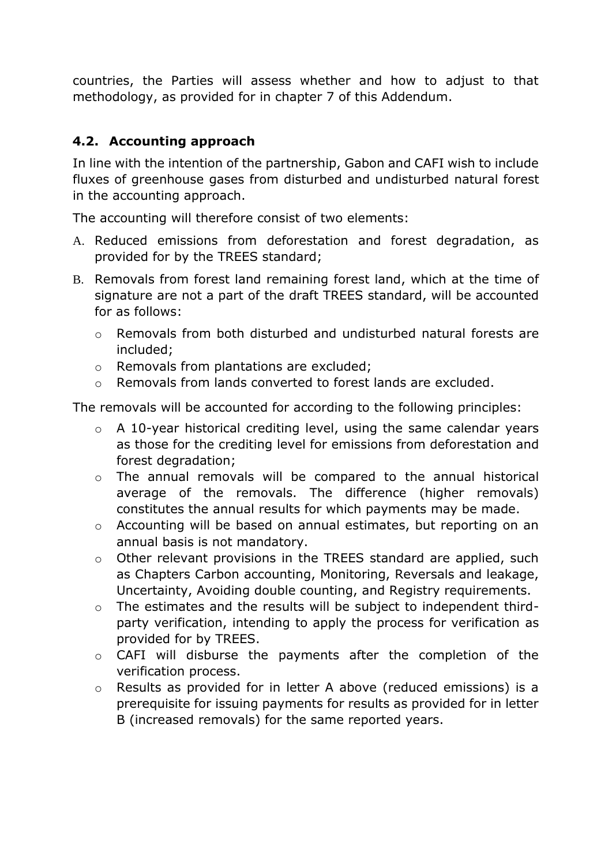countries, the Parties will assess whether and how to adjust to that methodology, as provided for in chapter 7 of this Addendum.

## **4.2. Accounting approach**

In line with the intention of the partnership, Gabon and CAFI wish to include fluxes of greenhouse gases from disturbed and undisturbed natural forest in the accounting approach.

The accounting will therefore consist of two elements:

- A. Reduced emissions from deforestation and forest degradation, as provided for by the TREES standard;
- B. Removals from forest land remaining forest land, which at the time of signature are not a part of the draft TREES standard, will be accounted for as follows:
	- o Removals from both disturbed and undisturbed natural forests are included;
	- o Removals from plantations are excluded;
	- o Removals from lands converted to forest lands are excluded.

The removals will be accounted for according to the following principles:

- o A 10-year historical crediting level, using the same calendar years as those for the crediting level for emissions from deforestation and forest degradation;
- o The annual removals will be compared to the annual historical average of the removals. The difference (higher removals) constitutes the annual results for which payments may be made.
- o Accounting will be based on annual estimates, but reporting on an annual basis is not mandatory.
- o Other relevant provisions in the TREES standard are applied, such as Chapters Carbon accounting, Monitoring, Reversals and leakage, Uncertainty, Avoiding double counting, and Registry requirements.
- o The estimates and the results will be subject to independent thirdparty verification, intending to apply the process for verification as provided for by TREES.
- o CAFI will disburse the payments after the completion of the verification process.
- o Results as provided for in letter A above (reduced emissions) is a prerequisite for issuing payments for results as provided for in letter B (increased removals) for the same reported years.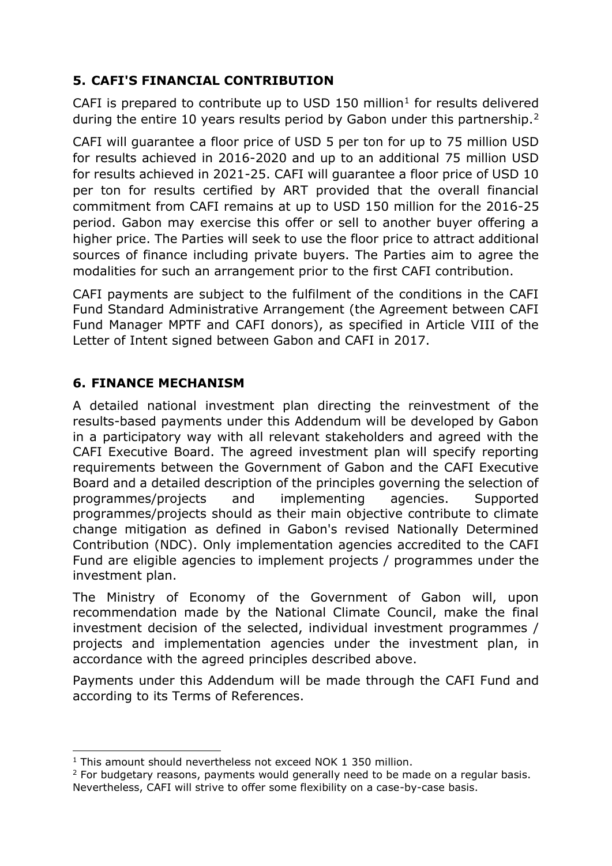# **5. CAFI'S FINANCIAL CONTRIBUTION**

CAFI is prepared to contribute up to USD 150 million<sup>1</sup> for results delivered during the entire 10 years results period by Gabon under this partnership.<sup>2</sup>

CAFI will guarantee a floor price of USD 5 per ton for up to 75 million USD for results achieved in 2016-2020 and up to an additional 75 million USD for results achieved in 2021-25. CAFI will guarantee a floor price of USD 10 per ton for results certified by ART provided that the overall financial commitment from CAFI remains at up to USD 150 million for the 2016-25 period. Gabon may exercise this offer or sell to another buyer offering a higher price. The Parties will seek to use the floor price to attract additional sources of finance including private buyers. The Parties aim to agree the modalities for such an arrangement prior to the first CAFI contribution.

CAFI payments are subject to the fulfilment of the conditions in the CAFI Fund Standard Administrative Arrangement (the Agreement between CAFI Fund Manager MPTF and CAFI donors), as specified in Article VIII of the Letter of Intent signed between Gabon and CAFI in 2017.

## **6. FINANCE MECHANISM**

A detailed national investment plan directing the reinvestment of the results-based payments under this Addendum will be developed by Gabon in a participatory way with all relevant stakeholders and agreed with the CAFI Executive Board. The agreed investment plan will specify reporting requirements between the Government of Gabon and the CAFI Executive Board and a detailed description of the principles governing the selection of programmes/projects and implementing agencies. Supported programmes/projects should as their main objective contribute to climate change mitigation as defined in Gabon's revised Nationally Determined Contribution (NDC). Only implementation agencies accredited to the CAFI Fund are eligible agencies to implement projects / programmes under the investment plan.

The Ministry of Economy of the Government of Gabon will, upon recommendation made by the National Climate Council, make the final investment decision of the selected, individual investment programmes / projects and implementation agencies under the investment plan, in accordance with the agreed principles described above.

Payments under this Addendum will be made through the CAFI Fund and according to its Terms of References.

<sup>-</sup><sup>1</sup> This amount should nevertheless not exceed NOK 1 350 million.

 $2$  For budgetary reasons, payments would generally need to be made on a regular basis. Nevertheless, CAFI will strive to offer some flexibility on a case-by-case basis.